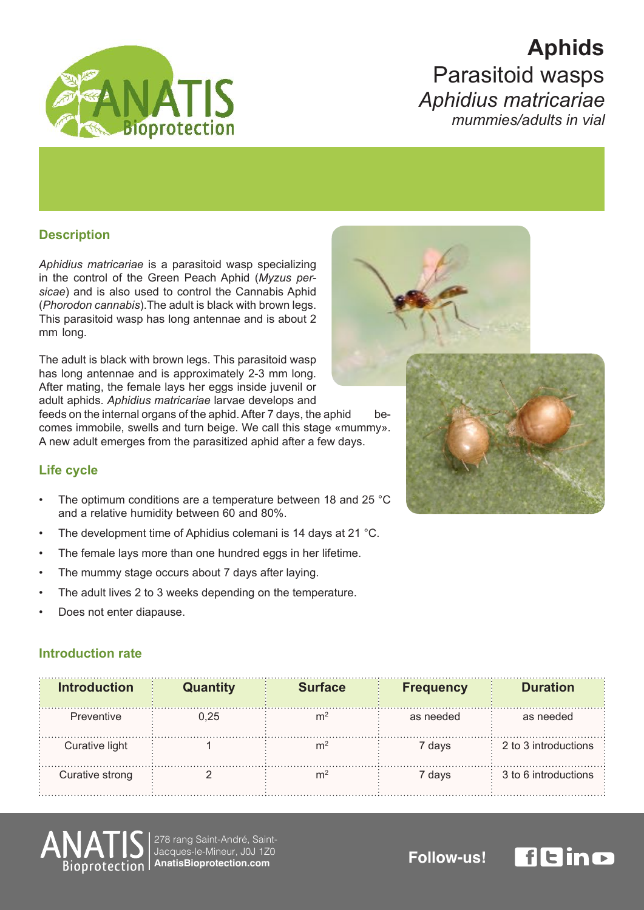

# **Aphids** Parasitoid wasps *matricariae Aphidius* mummies/adults in vial

## **Description**

Aphidius matricariae is a parasitoid wasp specializing sicae) and is also used to control the Cannabis Aphid in the control of the Green Peach Aphid (Myzus per-(Phorodon cannabis). The adult is black with brown legs. This parasitoid wasp has long antennae and is about 2 mm long.

The adult is black with brown legs. This parasitoid wasp has long antennae and is approximately 2-3 mm long. After mating, the female lays her eggs inside juvenil or adult aphids. Aphidius matricariae larvae develops and

feeds on the internal organs of the aphid. After 7 days, the aphid becomes immobile, swells and turn beige. We call this stage «mummy». feeds on the internal organs of the aphid. After 7 days, the aphid A new adult emerges from the parasitized aphid after a few days.

### **Life cycle**

- The optimum conditions are a temperature between 18 and 25 °C and a relative humidity between 60 and 80%.
- The development time of Aphidius colemani is 14 days at 21 °C.
- The female lays more than one hundred eggs in her lifetime.
- The mummy stage occurs about 7 days after laying.
- The adult lives 2 to 3 weeks depending on the temperature.
- Does not enter diapause.

### **Introduction rate**

| <b>Introduction</b> | <b>Quantity</b> | <b>Surface</b> | <b>Frequency</b> | <b>Duration</b>      |
|---------------------|-----------------|----------------|------------------|----------------------|
| Preventive          | 0.25            | m              | as needed        | as needed            |
| Curative light      |                 | m              | 7 days           | 2 to 3 introductions |
| Curative strong     |                 |                | 7 days           | 3 to 6 introductions |



Jacques-le-Mineur, J0J 1Z0 278 rang Saint-André, Saint-Jacques-le-Mineur, JOJ 120<br>AnatisBioprotection.com